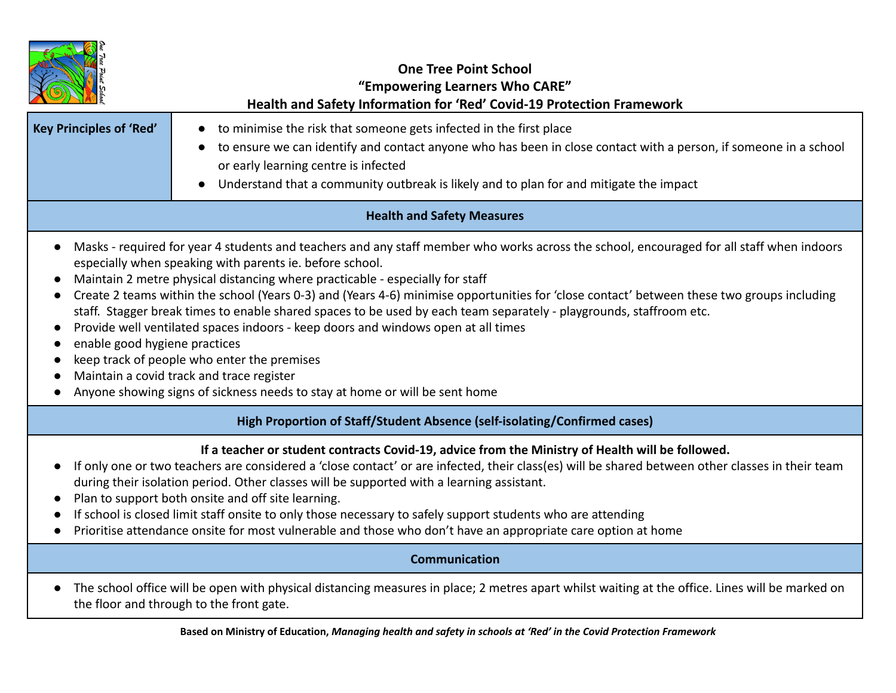| <b>Key Principles of 'Red'</b>                                                                                                                                                                                                                                                                                                                                                                                                                                                                                                                                                                                                                                                                                                                                                                                                                                            | <b>One Tree Point School</b><br>"Empowering Learners Who CARE"<br>Health and Safety Information for 'Red' Covid-19 Protection Framework<br>to minimise the risk that someone gets infected in the first place<br>$\bullet$<br>to ensure we can identify and contact anyone who has been in close contact with a person, if someone in a school<br>or early learning centre is infected<br>Understand that a community outbreak is likely and to plan for and mitigate the impact |
|---------------------------------------------------------------------------------------------------------------------------------------------------------------------------------------------------------------------------------------------------------------------------------------------------------------------------------------------------------------------------------------------------------------------------------------------------------------------------------------------------------------------------------------------------------------------------------------------------------------------------------------------------------------------------------------------------------------------------------------------------------------------------------------------------------------------------------------------------------------------------|----------------------------------------------------------------------------------------------------------------------------------------------------------------------------------------------------------------------------------------------------------------------------------------------------------------------------------------------------------------------------------------------------------------------------------------------------------------------------------|
| <b>Health and Safety Measures</b>                                                                                                                                                                                                                                                                                                                                                                                                                                                                                                                                                                                                                                                                                                                                                                                                                                         |                                                                                                                                                                                                                                                                                                                                                                                                                                                                                  |
| Masks - required for year 4 students and teachers and any staff member who works across the school, encouraged for all staff when indoors<br>$\bullet$<br>especially when speaking with parents ie. before school.<br>Maintain 2 metre physical distancing where practicable - especially for staff<br>Create 2 teams within the school (Years 0-3) and (Years 4-6) minimise opportunities for 'close contact' between these two groups including<br>staff. Stagger break times to enable shared spaces to be used by each team separately - playgrounds, staffroom etc.<br>Provide well ventilated spaces indoors - keep doors and windows open at all times<br>enable good hygiene practices<br>keep track of people who enter the premises<br>Maintain a covid track and trace register<br>Anyone showing signs of sickness needs to stay at home or will be sent home |                                                                                                                                                                                                                                                                                                                                                                                                                                                                                  |
| High Proportion of Staff/Student Absence (self-isolating/Confirmed cases)                                                                                                                                                                                                                                                                                                                                                                                                                                                                                                                                                                                                                                                                                                                                                                                                 |                                                                                                                                                                                                                                                                                                                                                                                                                                                                                  |
| If a teacher or student contracts Covid-19, advice from the Ministry of Health will be followed.<br>If only one or two teachers are considered a 'close contact' or are infected, their class(es) will be shared between other classes in their team<br>during their isolation period. Other classes will be supported with a learning assistant.<br>Plan to support both onsite and off site learning.<br>If school is closed limit staff onsite to only those necessary to safely support students who are attending<br>Prioritise attendance onsite for most vulnerable and those who don't have an appropriate care option at home                                                                                                                                                                                                                                    |                                                                                                                                                                                                                                                                                                                                                                                                                                                                                  |
| <b>Communication</b>                                                                                                                                                                                                                                                                                                                                                                                                                                                                                                                                                                                                                                                                                                                                                                                                                                                      |                                                                                                                                                                                                                                                                                                                                                                                                                                                                                  |
| The school office will be open with physical distancing measures in place; 2 metres apart whilst waiting at the office. Lines will be marked on<br>the floor and through to the front gate.                                                                                                                                                                                                                                                                                                                                                                                                                                                                                                                                                                                                                                                                               |                                                                                                                                                                                                                                                                                                                                                                                                                                                                                  |

Based on Ministry of Education, Managing health and safety in schools at 'Red' in the Covid Protection Framework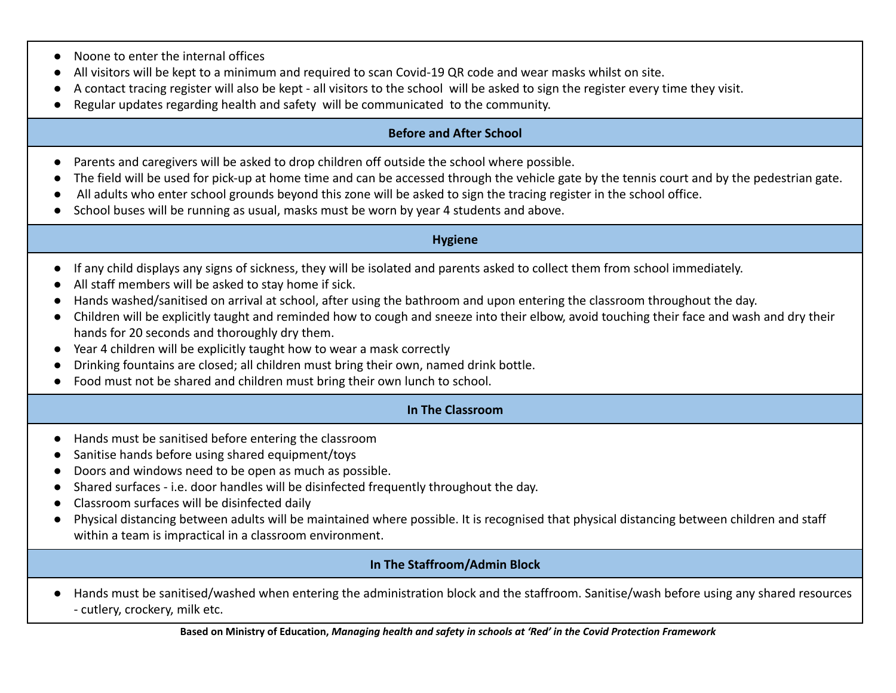- Noone to enter the internal offices
- All visitors will be kept to a minimum and required to scan Covid-19 QR code and wear masks whilst on site.
- A contact tracing register will also be kept all visitors to the school will be asked to sign the register every time they visit.
- Regular updates regarding health and safety will be communicated to the community.

# **Before and After School**

- **●** Parents and caregivers will be asked to drop children off outside the school where possible.
- The field will be used for pick-up at home time and can be accessed through the vehicle gate by the tennis court and by the pedestrian gate.
- **●** All adults who enter school grounds beyond this zone will be asked to sign the tracing register in the school office.
- School buses will be running as usual, masks must be worn by year 4 students and above.

### **Hygiene**

- **●** If any child displays any signs of sickness, they will be isolated and parents asked to collect them from school immediately.
- All staff members will be asked to stay home if sick.
- Hands washed/sanitised on arrival at school, after using the bathroom and upon entering the classroom throughout the day.
- Children will be explicitly taught and reminded how to cough and sneeze into their elbow, avoid touching their face and wash and dry their hands for 20 seconds and thoroughly dry them.
- Year 4 children will be explicitly taught how to wear a mask correctly
- Drinking fountains are closed; all children must bring their own, named drink bottle.
- Food must not be shared and children must bring their own lunch to school.

# **In The Classroom**

- Hands must be sanitised before entering the classroom
- Sanitise hands before using shared equipment/toys
- Doors and windows need to be open as much as possible.
- Shared surfaces i.e. door handles will be disinfected frequently throughout the day.
- Classroom surfaces will be disinfected daily
- Physical distancing between adults will be maintained where possible. It is recognised that physical distancing between children and staff within a team is impractical in a classroom environment.

# **In The Staffroom/Admin Block**

● Hands must be sanitised/washed when entering the administration block and the staffroom. Sanitise/wash before using any shared resources - cutlery, crockery, milk etc.